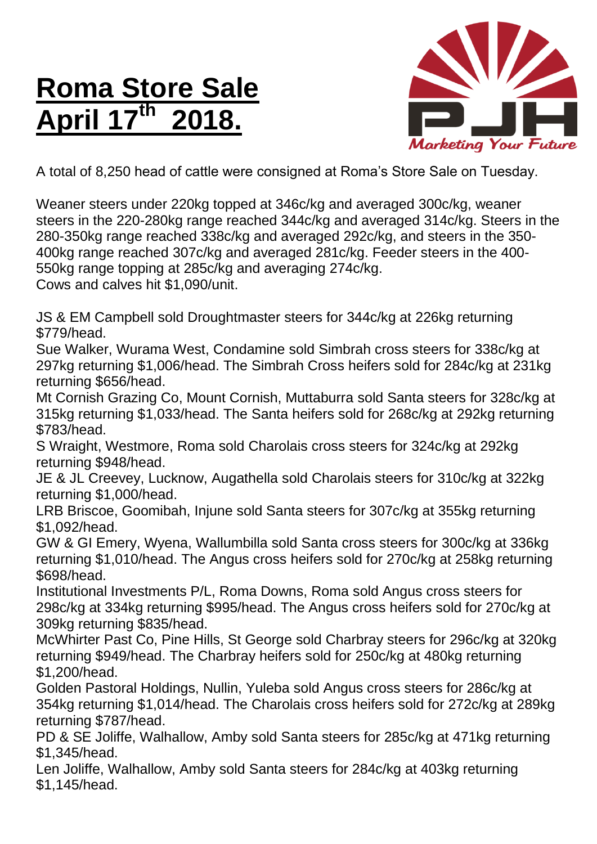## **Roma Store Sale April 17 th 2018.**



A total of 8,250 head of cattle were consigned at Roma's Store Sale on Tuesday.

Weaner steers under 220kg topped at 346c/kg and averaged 300c/kg, weaner steers in the 220-280kg range reached 344c/kg and averaged 314c/kg. Steers in the 280-350kg range reached 338c/kg and averaged 292c/kg, and steers in the 350- 400kg range reached 307c/kg and averaged 281c/kg. Feeder steers in the 400- 550kg range topping at 285c/kg and averaging 274c/kg. Cows and calves hit \$1,090/unit.

JS & EM Campbell sold Droughtmaster steers for 344c/kg at 226kg returning \$779/head.

Sue Walker, Wurama West, Condamine sold Simbrah cross steers for 338c/kg at 297kg returning \$1,006/head. The Simbrah Cross heifers sold for 284c/kg at 231kg returning \$656/head.

Mt Cornish Grazing Co, Mount Cornish, Muttaburra sold Santa steers for 328c/kg at 315kg returning \$1,033/head. The Santa heifers sold for 268c/kg at 292kg returning \$783/head.

S Wraight, Westmore, Roma sold Charolais cross steers for 324c/kg at 292kg returning \$948/head.

JE & JL Creevey, Lucknow, Augathella sold Charolais steers for 310c/kg at 322kg returning \$1,000/head.

LRB Briscoe, Goomibah, Injune sold Santa steers for 307c/kg at 355kg returning \$1,092/head.

GW & GI Emery, Wyena, Wallumbilla sold Santa cross steers for 300c/kg at 336kg returning \$1,010/head. The Angus cross heifers sold for 270c/kg at 258kg returning \$698/head.

Institutional Investments P/L, Roma Downs, Roma sold Angus cross steers for 298c/kg at 334kg returning \$995/head. The Angus cross heifers sold for 270c/kg at 309kg returning \$835/head.

McWhirter Past Co, Pine Hills, St George sold Charbray steers for 296c/kg at 320kg returning \$949/head. The Charbray heifers sold for 250c/kg at 480kg returning \$1,200/head.

Golden Pastoral Holdings, Nullin, Yuleba sold Angus cross steers for 286c/kg at 354kg returning \$1,014/head. The Charolais cross heifers sold for 272c/kg at 289kg returning \$787/head.

PD & SE Joliffe, Walhallow, Amby sold Santa steers for 285c/kg at 471kg returning \$1,345/head.

Len Joliffe, Walhallow, Amby sold Santa steers for 284c/kg at 403kg returning \$1,145/head.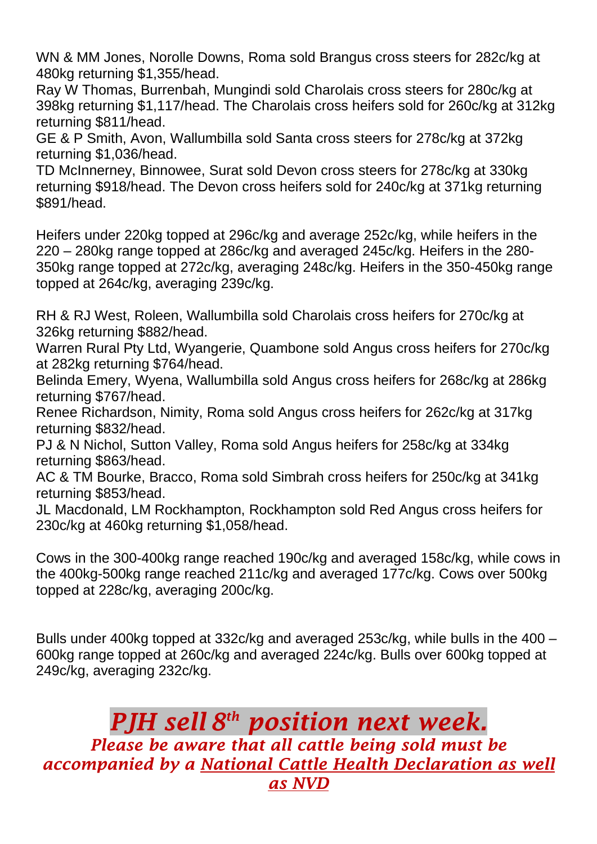WN & MM Jones, Norolle Downs, Roma sold Brangus cross steers for 282c/kg at 480kg returning \$1,355/head.

Ray W Thomas, Burrenbah, Mungindi sold Charolais cross steers for 280c/kg at 398kg returning \$1,117/head. The Charolais cross heifers sold for 260c/kg at 312kg returning \$811/head.

GE & P Smith, Avon, Wallumbilla sold Santa cross steers for 278c/kg at 372kg returning \$1,036/head.

TD McInnerney, Binnowee, Surat sold Devon cross steers for 278c/kg at 330kg returning \$918/head. The Devon cross heifers sold for 240c/kg at 371kg returning \$891/head.

Heifers under 220kg topped at 296c/kg and average 252c/kg, while heifers in the 220 – 280kg range topped at 286c/kg and averaged 245c/kg. Heifers in the 280- 350kg range topped at 272c/kg, averaging 248c/kg. Heifers in the 350-450kg range topped at 264c/kg, averaging 239c/kg.

RH & RJ West, Roleen, Wallumbilla sold Charolais cross heifers for 270c/kg at 326kg returning \$882/head.

Warren Rural Pty Ltd, Wyangerie, Quambone sold Angus cross heifers for 270c/kg at 282kg returning \$764/head.

Belinda Emery, Wyena, Wallumbilla sold Angus cross heifers for 268c/kg at 286kg returning \$767/head.

Renee Richardson, Nimity, Roma sold Angus cross heifers for 262c/kg at 317kg returning \$832/head.

PJ & N Nichol, Sutton Valley, Roma sold Angus heifers for 258c/kg at 334kg returning \$863/head.

AC & TM Bourke, Bracco, Roma sold Simbrah cross heifers for 250c/kg at 341kg returning \$853/head.

JL Macdonald, LM Rockhampton, Rockhampton sold Red Angus cross heifers for 230c/kg at 460kg returning \$1,058/head.

Cows in the 300-400kg range reached 190c/kg and averaged 158c/kg, while cows in the 400kg-500kg range reached 211c/kg and averaged 177c/kg. Cows over 500kg topped at 228c/kg, averaging 200c/kg.

Bulls under 400kg topped at 332c/kg and averaged 253c/kg, while bulls in the 400 – 600kg range topped at 260c/kg and averaged 224c/kg. Bulls over 600kg topped at 249c/kg, averaging 232c/kg.

## *PJH sell 8 th position next week. Please be aware that all cattle being sold must be accompanied by a National Cattle Health Declaration as well as NVD*